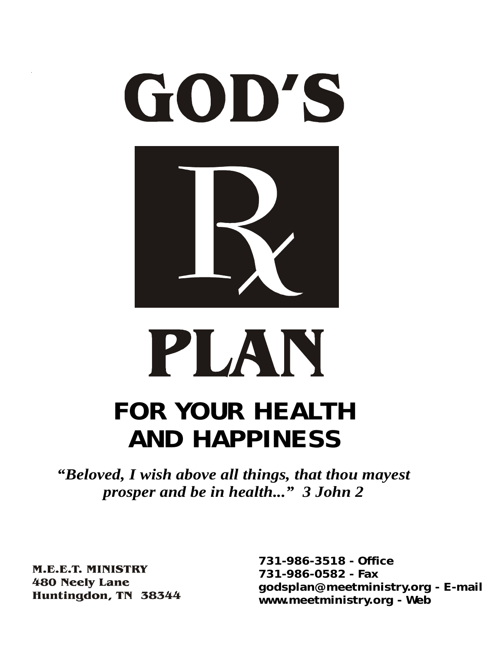



# **FOR YOUR HEALTH AND HAPPINESS**

*"Beloved, I wish above all things, that thou mayest prosper and be in health..." 3 John 2*

**M.E.E.T. MINISTRY 480 Neely Lane** Huntingdon, TN 38344

**731-986-3518 - Office 731-986-0582 - Fax godsplan@meetministry.org - E-mail www.meetministry.org - Web**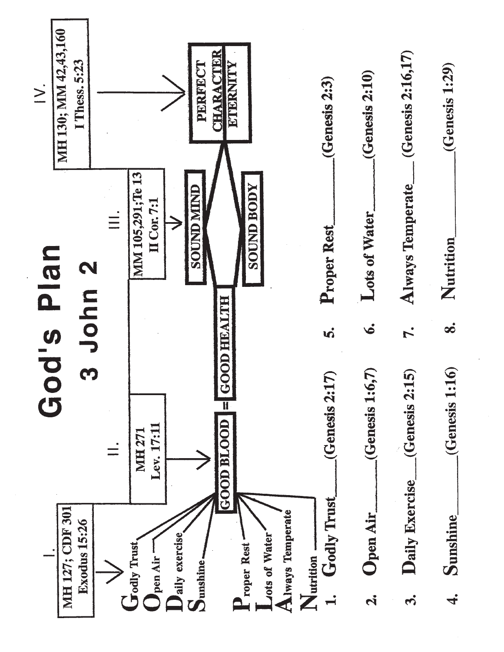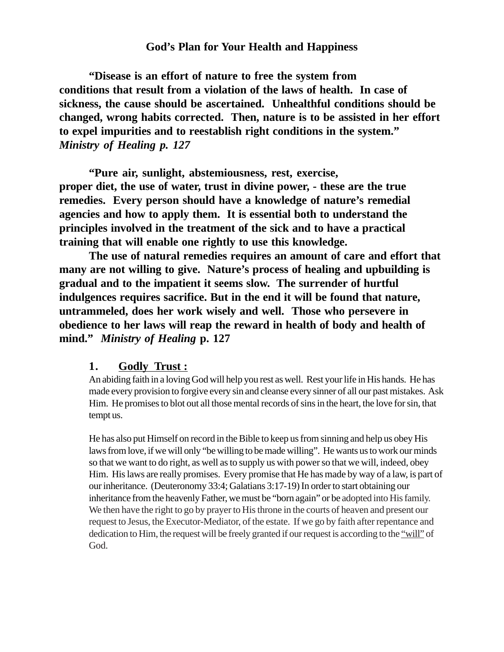**"Disease is an effort of nature to free the system from conditions that result from a violation of the laws of health. In case of sickness, the cause should be ascertained. Unhealthful conditions should be changed, wrong habits corrected. Then, nature is to be assisted in her effort to expel impurities and to reestablish right conditions in the system."** *Ministry of Healing p. 127*

**"Pure air, sunlight, abstemiousness, rest, exercise, proper diet, the use of water, trust in divine power, - these are the true remedies. Every person should have a knowledge of nature's remedial agencies and how to apply them. It is essential both to understand the principles involved in the treatment of the sick and to have a practical training that will enable one rightly to use this knowledge.**

**The use of natural remedies requires an amount of care and effort that many are not willing to give. Nature's process of healing and upbuilding is gradual and to the impatient it seems slow. The surrender of hurtful indulgences requires sacrifice. But in the end it will be found that nature, untrammeled, does her work wisely and well. Those who persevere in obedience to her laws will reap the reward in health of body and health of mind."** *Ministry of Healing* **p. 127**

#### **1. Godly Trust :**

An abiding faith in a loving God will help you rest as well. Rest your life in His hands. He has made every provision to forgive every sin and cleanse every sinner of all our past mistakes. Ask Him. He promises to blot out all those mental records of sins in the heart, the love for sin, that tempt us.

He has also put Himself on record in the Bible to keep us from sinning and help us obey His laws from love, if we will only "be willing to be made willing". He wants us to work our minds so that we want to do right, as well as to supply us with power so that we will, indeed, obey Him. His laws are really promises. Every promise that He has made by way of a law, is part of our inheritance. (Deuteronomy 33:4; Galatians 3:17-19) In order to start obtaining our inheritance from the heavenly Father, we must be "born again" or be adopted into His family. We then have the right to go by prayer to His throne in the courts of heaven and present our request to Jesus, the Executor-Mediator, of the estate. If we go by faith after repentance and dedication to Him, the request will be freely granted if our request is according to the "will" of God.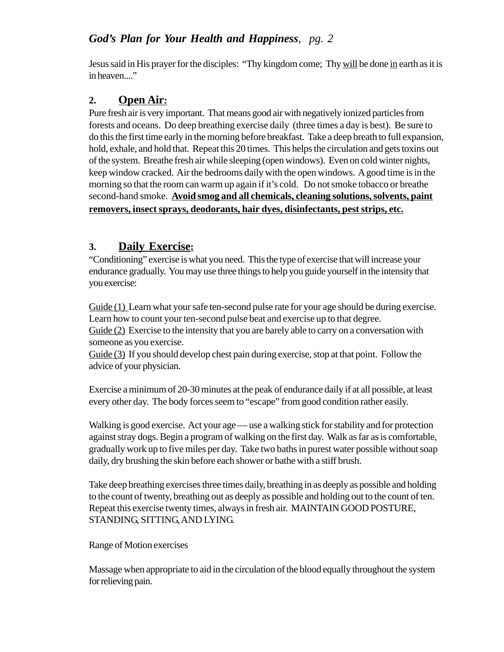Jesus said in His prayer for the disciples: "Thy kingdom come; Thy will be done in earth as it is in heaven...."

#### **2. Open Air:**

Pure fresh air is very important. That means good air with negatively ionized particles from forests and oceans. Do deep breathing exercise daily (three times a day is best). Be sure to do this the first time early in the morning before breakfast. Take a deep breath to full expansion, hold, exhale, and hold that. Repeat this 20 times. This helps the circulation and gets toxins out of the system. Breathe fresh air while sleeping (open windows). Even on cold winter nights, keep window cracked. Air the bedrooms daily with the open windows. A good time is in the morning so that the room can warm up again if it's cold. Do not smoke tobacco or breathe second-hand smoke. **Avoid smog and all chemicals, cleaning solutions, solvents, paint removers, insect sprays, deodorants, hair dyes, disinfectants, pest strips, etc.**

#### **3. Daily Exercise:**

"Conditioning" exercise is what you need. This the type of exercise that will increase your endurance gradually. You may use three things to help you guide yourself in the intensity that you exercise:

Guide (1) Learn what your safe ten-second pulse rate for your age should be during exercise. Learn how to count your ten-second pulse beat and exercise up to that degree.

Guide (2) Exercise to the intensity that you are barely able to carry on a conversation with someone as you exercise.

Guide (3) If you should develop chest pain during exercise, stop at that point. Follow the advice of your physician.

Exercise a minimum of 20-30 minutes at the peak of endurance daily if at all possible, at least every other day. The body forces seem to "escape" from good condition rather easily.

Walking is good exercise. Act your age — use a walking stick for stability and for protection against stray dogs. Begin a program of walking on the first day. Walk as far as is comfortable, gradually work up to five miles per day. Take two baths in purest water possible without soap daily, dry brushing the skin before each shower or bathe with a stiff brush.

Take deep breathing exercises three times daily, breathing in as deeply as possible and holding to the count of twenty, breathing out as deeply as possible and holding out to the count of ten. Repeat this exercise twenty times, always in fresh air. MAINTAIN GOOD POSTURE, STANDING, SITTING, AND LYING.

Range of Motion exercises

Massage when appropriate to aid in the circulation of the blood equally throughout the system for relieving pain.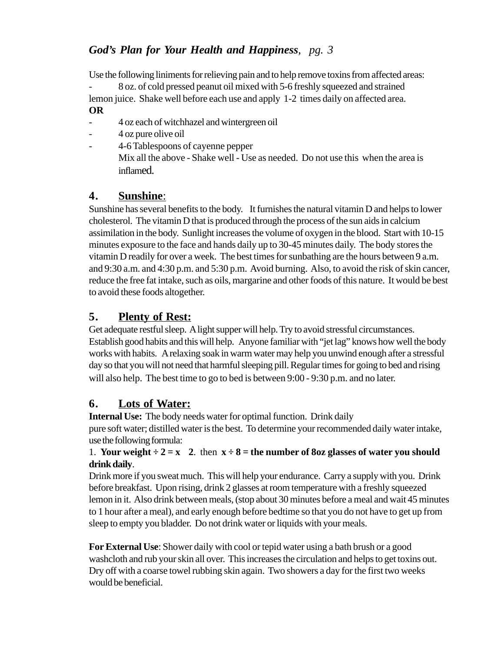Use the following liniments for relieving pain and to help remove toxins from affected areas:

- 8 oz. of cold pressed peanut oil mixed with 5-6 freshly squeezed and strained lemon juice. Shake well before each use and apply 1-2 times daily on affected area. **OR**

- 4 oz each of witchhazel and wintergreen oil
- 4 oz pure olive oil
- 4-6 Tablespoons of cayenne pepper Mix all the above - Shake well - Use as needed. Do not use this when the area is inflamed.

# **4. Sunshine**:

Sunshine has several benefits to the body. It furnishes the natural vitamin D and helps to lower cholesterol. The vitamin D that is produced through the process of the sun aids in calcium assimilation in the body. Sunlight increases the volume of oxygen in the blood. Start with 10-15 minutes exposure to the face and hands daily up to 30-45 minutes daily. The body stores the vitamin D readily for over a week. The best times for sunbathing are the hours between 9 a.m. and 9:30 a.m. and 4:30 p.m. and 5:30 p.m. Avoid burning. Also, to avoid the risk of skin cancer, reduce the free fat intake, such as oils, margarine and other foods of this nature. It would be best to avoid these foods altogether.

# **5. Plenty of Rest:**

Get adequate restful sleep. A light supper will help. Try to avoid stressful circumstances. Establish good habits and this will help. Anyone familiar with "jet lag" knows how well the body works with habits. A relaxing soak in warm water may help you unwind enough after a stressful day so that you will not need that harmful sleeping pill. Regular times for going to bed and rising will also help. The best time to go to bed is between 9:00 - 9:30 p.m. and no later.

# **6. Lots of Water:**

**Internal Use:** The body needs water for optimal function. Drink daily pure soft water; distilled water is the best. To determine your recommended daily water intake, use the following formula:

#### 1. **Your weight**  $\div 2 = x$  2. then  $x \div 8 =$  the number of 8oz glasses of water you should **drink daily**.

Drink more if you sweat much. This will help your endurance. Carry a supply with you. Drink before breakfast. Upon rising, drink 2 glasses at room temperature with a freshly squeezed lemon in it. Also drink between meals, (stop about 30 minutes before a meal and wait 45 minutes to 1 hour after a meal), and early enough before bedtime so that you do not have to get up from sleep to empty you bladder. Do not drink water or liquids with your meals.

**For External Use**: Shower daily with cool or tepid water using a bath brush or a good washcloth and rub your skin all over. This increases the circulation and helps to get toxins out. Dry off with a coarse towel rubbing skin again. Two showers a day for the first two weeks would be beneficial.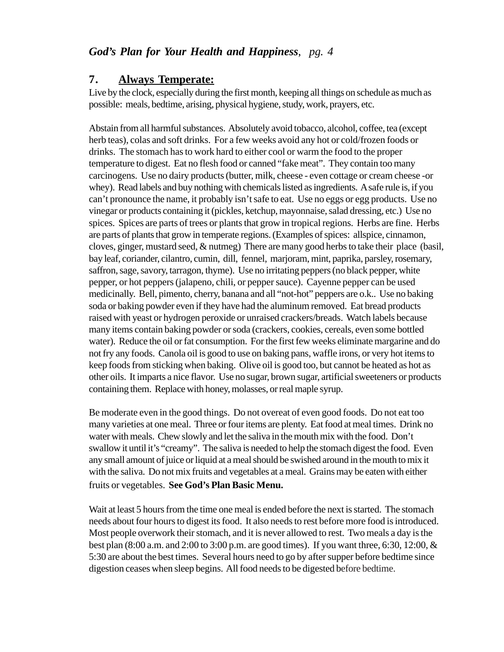#### **7. Always Temperate:**

Live by the clock, especially during the first month, keeping all things on schedule as much as possible: meals, bedtime, arising, physical hygiene, study, work, prayers, etc.

Abstain from all harmful substances. Absolutely avoid tobacco, alcohol, coffee, tea (except herb teas), colas and soft drinks. For a few weeks avoid any hot or cold/frozen foods or drinks. The stomach has to work hard to either cool or warm the food to the proper temperature to digest. Eat no flesh food or canned "fake meat". They contain too many carcinogens. Use no dairy products (butter, milk, cheese - even cottage or cream cheese -or whey). Read labels and buy nothing with chemicals listed as ingredients. A safe rule is, if you can't pronounce the name, it probably isn't safe to eat. Use no eggs or egg products. Use no vinegar or products containing it (pickles, ketchup, mayonnaise, salad dressing, etc.) Use no spices. Spices are parts of trees or plants that grow in tropical regions. Herbs are fine. Herbs are parts of plants that grow in temperate regions. (Examples of spices: allspice, cinnamon, cloves, ginger, mustard seed, & nutmeg) There are many good herbs to take their place (basil, bay leaf, coriander, cilantro, cumin, dill, fennel, marjoram, mint, paprika, parsley, rosemary, saffron, sage, savory, tarragon, thyme). Use no irritating peppers (no black pepper, white pepper, or hot peppers (jalapeno, chili, or pepper sauce). Cayenne pepper can be used medicinally. Bell, pimento, cherry, banana and all "not-hot" peppers are o.k.. Use no baking soda or baking powder even if they have had the aluminum removed. Eat bread products raised with yeast or hydrogen peroxide or unraised crackers/breads. Watch labels because many items contain baking powder or soda (crackers, cookies, cereals, even some bottled water). Reduce the oil or fat consumption. For the first few weeks eliminate margarine and do not fry any foods. Canola oil is good to use on baking pans, waffle irons, or very hot items to keep foods from sticking when baking. Olive oil is good too, but cannot be heated as hot as other oils. It imparts a nice flavor. Use no sugar, brown sugar, artificial sweeteners or products containing them. Replace with honey, molasses, or real maple syrup.

Be moderate even in the good things. Do not overeat of even good foods. Do not eat too many varieties at one meal. Three or four items are plenty. Eat food at meal times. Drink no water with meals. Chew slowly and let the saliva in the mouth mix with the food. Don't swallow it until it's "creamy". The saliva is needed to help the stomach digest the food. Even any small amount of juice or liquid at a meal should be swished around in the mouth to mix it with the saliva. Do not mix fruits and vegetables at a meal. Grains may be eaten with either fruits or vegetables. **See God's Plan Basic Menu.**

Wait at least 5 hours from the time one meal is ended before the next is started. The stomach needs about four hours to digest its food. It also needs to rest before more food is introduced. Most people overwork their stomach, and it is never allowed to rest. Two meals a day is the best plan (8:00 a.m. and 2:00 to 3:00 p.m. are good times). If you want three, 6:30, 12:00, & 5:30 are about the best times. Several hours need to go by after supper before bedtime since digestion ceases when sleep begins. All food needs to be digested before bedtime.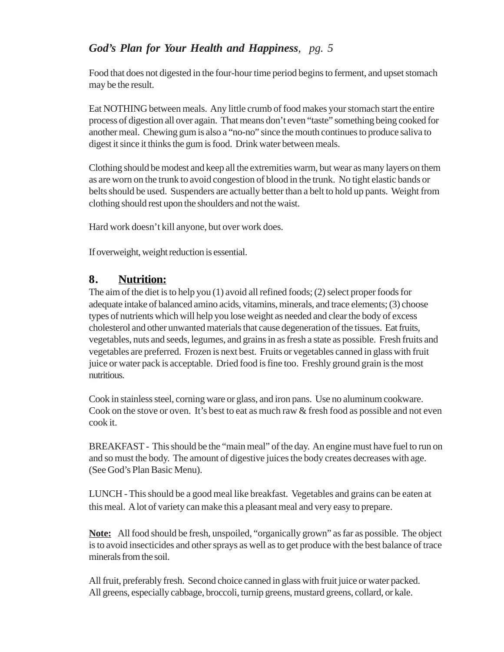Food that does not digested in the four-hour time period begins to ferment, and upset stomach may be the result.

Eat NOTHING between meals. Any little crumb of food makes your stomach start the entire process of digestion all over again. That means don't even "taste" something being cooked for another meal. Chewing gum is also a "no-no" since the mouth continues to produce saliva to digest it since it thinks the gum is food. Drink water between meals.

Clothing should be modest and keep all the extremities warm, but wear as many layers on them as are worn on the trunk to avoid congestion of blood in the trunk. No tight elastic bands or belts should be used. Suspenders are actually better than a belt to hold up pants. Weight from clothing should rest upon the shoulders and not the waist.

Hard work doesn't kill anyone, but over work does.

If overweight, weight reduction is essential.

#### **8. Nutrition:**

The aim of the diet is to help you (1) avoid all refined foods; (2) select proper foods for adequate intake of balanced amino acids, vitamins, minerals, and trace elements; (3) choose types of nutrients which will help you lose weight as needed and clear the body of excess cholesterol and other unwanted materials that cause degeneration of the tissues. Eat fruits, vegetables, nuts and seeds, legumes, and grains in as fresh a state as possible. Fresh fruits and vegetables are preferred. Frozen is next best. Fruits or vegetables canned in glass with fruit juice or water pack is acceptable. Dried food is fine too. Freshly ground grain is the most nutritious.

Cook in stainless steel, corning ware or glass, and iron pans. Use no aluminum cookware. Cook on the stove or oven. It's best to eat as much raw & fresh food as possible and not even cook it.

BREAKFAST - This should be the "main meal" of the day. An engine must have fuel to run on and so must the body. The amount of digestive juices the body creates decreases with age. (See God's Plan Basic Menu).

LUNCH - This should be a good meal like breakfast. Vegetables and grains can be eaten at this meal. A lot of variety can make this a pleasant meal and very easy to prepare.

**Note:** All food should be fresh, unspoiled, "organically grown" as far as possible. The object is to avoid insecticides and other sprays as well as to get produce with the best balance of trace minerals from the soil.

All fruit, preferably fresh. Second choice canned in glass with fruit juice or water packed. All greens, especially cabbage, broccoli, turnip greens, mustard greens, collard, or kale.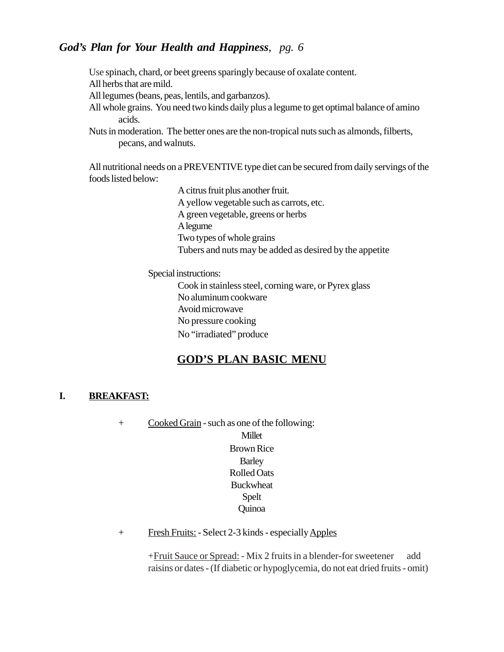Use spinach, chard, or beet greens sparingly because of oxalate content.

All herbs that are mild.

All legumes (beans, peas, lentils, and garbanzos).

- All whole grains. You need two kinds daily plus a legume to get optimal balance of amino acids.
- Nuts in moderation. The better ones are the non-tropical nuts such as almonds, filberts, pecans, and walnuts.

All nutritional needs on a PREVENTIVE type diet can be secured from daily servings of the foods listed below:

> A citrus fruit plus another fruit. A yellow vegetable such as carrots, etc. A green vegetable, greens or herbs A legume Two types of whole grains Tubers and nuts may be added as desired by the appetite

Special instructions:

Cook in stainless steel, corning ware, or Pyrex glass No aluminum cookware Avoid microwave No pressure cooking No "irradiated" produce

#### **GOD'S PLAN BASIC MENU**

#### **I. BREAKFAST:**

+ Cooked Grain - such as one of the following:

Millet Brown Rice **Barley** Rolled Oats **Buckwheat** Spelt Quinoa

+ Fresh Fruits: - Select 2-3 kinds - especially Apples

+Fruit Sauce or Spread: - Mix 2 fruits in a blender-for sweetener add raisins or dates - (If diabetic or hypoglycemia, do not eat dried fruits - omit)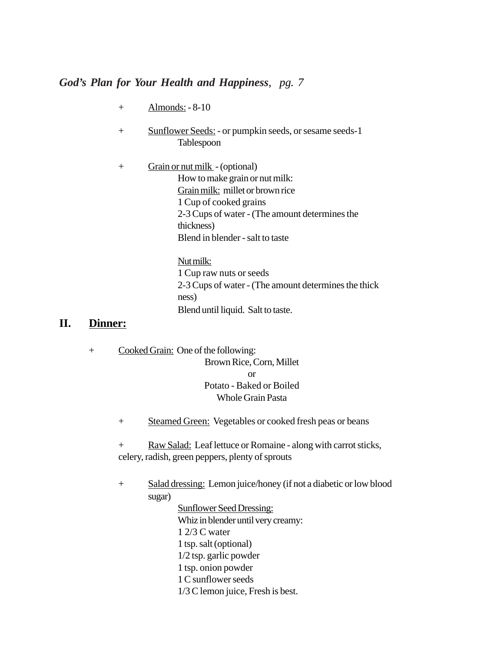- + Almonds: 8-10
- + Sunflower Seeds: or pumpkin seeds, or sesame seeds-1 Tablespoon
- + Grain or nut milk (optional) How to make grain or nut milk: Grain milk: millet or brown rice 1 Cup of cooked grains 2-3 Cups of water - (The amount determines the thickness) Blend in blender - salt to taste

Nut milk: 1 Cup raw nuts or seeds 2-3 Cups of water - (The amount determines the thick ness) Blend until liquid. Salt to taste.

#### **II. Dinner:**

- + Cooked Grain: One of the following: Brown Rice, Corn, Millet or Potato - Baked or Boiled Whole Grain Pasta
	- + Steamed Green: Vegetables or cooked fresh peas or beans

+ Raw Salad: Leaf lettuce or Romaine - along with carrot sticks, celery, radish, green peppers, plenty of sprouts

+ Salad dressing: Lemon juice/honey (if not a diabetic or low blood sugar)

> Sunflower Seed Dressing: Whiz in blender until very creamy: 1 2/3 C water 1 tsp. salt (optional) 1/2 tsp. garlic powder 1 tsp. onion powder 1 C sunflower seeds 1/3 C lemon juice, Fresh is best.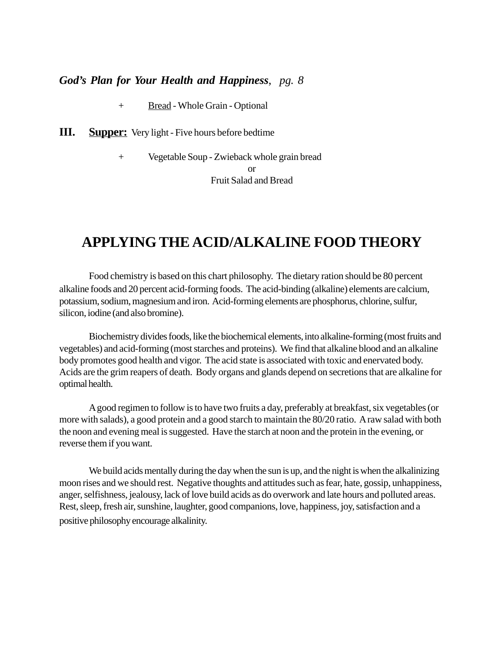+ Bread - Whole Grain - Optional

**III. Supper:** Very light - Five hours before bedtime

+ Vegetable Soup - Zwieback whole grain bread or Fruit Salad and Bread

# **APPLYING THE ACID/ALKALINE FOOD THEORY**

Food chemistry is based on this chart philosophy. The dietary ration should be 80 percent alkaline foods and 20 percent acid-forming foods. The acid-binding (alkaline) elements are calcium, potassium, sodium, magnesium and iron. Acid-forming elements are phosphorus, chlorine, sulfur, silicon, iodine (and also bromine).

Biochemistry divides foods, like the biochemical elements, into alkaline-forming (most fruits and vegetables) and acid-forming (most starches and proteins). We find that alkaline blood and an alkaline body promotes good health and vigor. The acid state is associated with toxic and enervated body. Acids are the grim reapers of death. Body organs and glands depend on secretions that are alkaline for optimal health.

A good regimen to follow is to have two fruits a day, preferably at breakfast, six vegetables (or more with salads), a good protein and a good starch to maintain the 80/20 ratio. A raw salad with both the noon and evening meal is suggested. Have the starch at noon and the protein in the evening, or reverse them if you want.

We build acids mentally during the day when the sun is up, and the night is when the alkalinizing moon rises and we should rest. Negative thoughts and attitudes such as fear, hate, gossip, unhappiness, anger, selfishness, jealousy, lack of love build acids as do overwork and late hours and polluted areas. Rest, sleep, fresh air, sunshine, laughter, good companions, love, happiness, joy, satisfaction and a positive philosophy encourage alkalinity.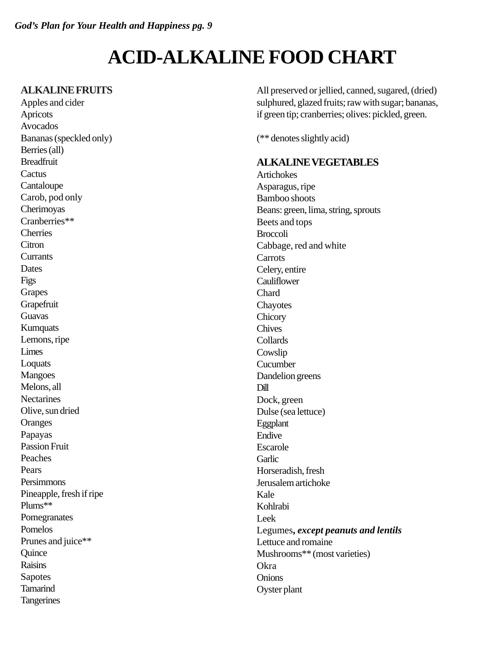# **ACID-ALKALINE FOOD CHART**

#### **ALKALINE FRUITS**

Apples and cider Apricots Avocados Bananas (speckled only) Berries (all) **Breadfruit Cactus** Cantaloupe Carob, pod only Cherimoyas Cranberries\*\* Cherries **Citron** Currants **Dates** Figs Grapes **Grapefruit** Guavas **Kumquats** Lemons, ripe Limes Loquats Mangoes Melons, all **Nectarines** Olive, sun dried **Oranges** Papayas Passion Fruit Peaches Pears Persimmons Pineapple, fresh if ripe Plums\*\* Pomegranates Pomelos Prunes and juice\*\* **Quince** Raisins Sapotes Tamarind **Tangerines** 

All preserved or jellied, canned, sugared, (dried) sulphured, glazed fruits; raw with sugar; bananas, if green tip; cranberries; olives: pickled, green.

(\*\* denotes slightly acid)

#### **ALKALINE VEGETABLES**

Artichokes Asparagus, ripe Bamboo shoots Beans: green, lima, string, sprouts Beets and tops Broccoli Cabbage, red and white **Carrots** Celery, entire **Cauliflower** Chard Chayotes **Chicory Chives** Collards Cowslip **Cucumber** Dandelion greens Dill Dock, green Dulse (sea lettuce) Eggplant Endive Escarole **Garlic** Horseradish, fresh Jerusalem artichoke Kale Kohlrabi Leek Legumes**,** *except peanuts and lentils* Lettuce and romaine Mushrooms\*\* (most varieties) Okra **Onions** Oyster plant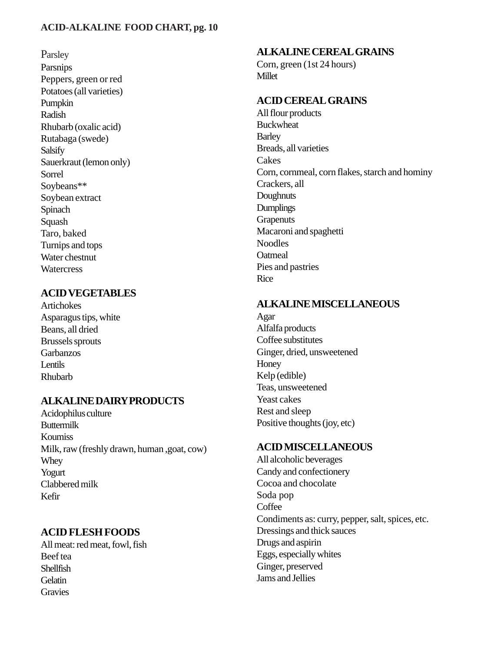#### **ACID-ALKALINE FOOD CHART, pg. 10**

Parsley Parsnips Peppers, green or red Potatoes (all varieties) Pumpkin Radish Rhubarb (oxalic acid) Rutabaga (swede) **Salsify** Sauerkraut (lemon only) Sorrel Soybeans\*\* Soybean extract Spinach Squash Taro, baked Turnips and tops Water chestnut **Watercress** 

#### **ACID VEGETABLES**

Artichokes Asparagus tips, white Beans, all dried Brussels sprouts Garbanzos Lentils Rhubarb

#### **ALKALINE DAIRY PRODUCTS**

Acidophilus culture Buttermilk Koumiss Milk, raw (freshly drawn, human ,goat, cow) Whey Yogurt Clabbered milk Kefir

#### **ACID FLESH FOODS**

All meat: red meat, fowl, fish Beef tea Shellfish **Gelatin Gravies** 

#### **ALKALINE CEREAL GRAINS**

Corn, green (1st 24 hours) **Millet** 

#### **ACID CEREAL GRAINS**

All flour products **Buckwheat** Barley Breads, all varieties **Cakes** Corn, cornmeal, corn flakes, starch and hominy Crackers, all **Doughnuts Dumplings Grapenuts** Macaroni and spaghetti Noodles **O**atmeal Pies and pastries **Rice** 

#### **ALKALINE MISCELLANEOUS**

Agar Alfalfa products Coffee substitutes Ginger, dried, unsweetened **Honey** Kelp (edible) Teas, unsweetened Yeast cakes Rest and sleep Positive thoughts (joy, etc)

#### **ACID MISCELLANEOUS**

All alcoholic beverages Candy and confectionery Cocoa and chocolate Soda pop **Coffee** Condiments as: curry, pepper, salt, spices, etc. Dressings and thick sauces Drugs and aspirin Eggs, especially whites Ginger, preserved Jams and Jellies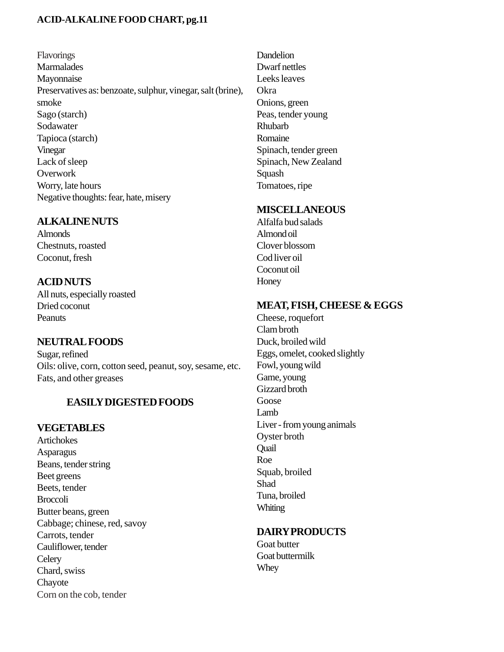#### **ACID-ALKALINE FOOD CHART, pg.11**

**Flavorings Marmalades Mayonnaise** Preservatives as: benzoate, sulphur, vinegar, salt (brine), smoke Sago (starch) Sodawater Tapioca (starch) Vinegar Lack of sleep Overwork Worry, late hours Negative thoughts: fear, hate, misery

#### **ALKALINE NUTS**

Almonds Chestnuts, roasted Coconut, fresh

#### **ACID NUTS**

All nuts, especially roasted Dried coconut **Peanuts** 

#### **NEUTRAL FOODS**

Sugar, refined Oils: olive, corn, cotton seed, peanut, soy, sesame, etc. Fats, and other greases

#### **EASILY DIGESTED FOODS**

#### **VEGETABLES**

**Artichokes** Asparagus Beans, tender string Beet greens Beets, tender Broccoli Butter beans, green Cabbage; chinese, red, savoy Carrots, tender Cauliflower, tender **Celery** Chard, swiss **Chavote** Corn on the cob, tender

**Dandelion** Dwarf nettles Leeks leaves Okra Onions, green Peas, tender young Rhubarb Romaine Spinach, tender green Spinach, New Zealand Squash Tomatoes, ripe

#### **MISCELLANEOUS**

Alfalfa bud salads Almond oil Clover blossom Cod liver oil Coconut oil **Honey** 

#### **MEAT, FISH, CHEESE & EGGS**

Cheese, roquefort Clam broth Duck, broiled wild Eggs, omelet, cooked slightly Fowl, young wild Game, young Gizzard broth Goose Lamb Liver - from young animals Oyster broth **Quail** Roe Squab, broiled Shad Tuna, broiled **Whiting** 

#### **DAIRY PRODUCTS**

Goat butter Goat buttermilk Whey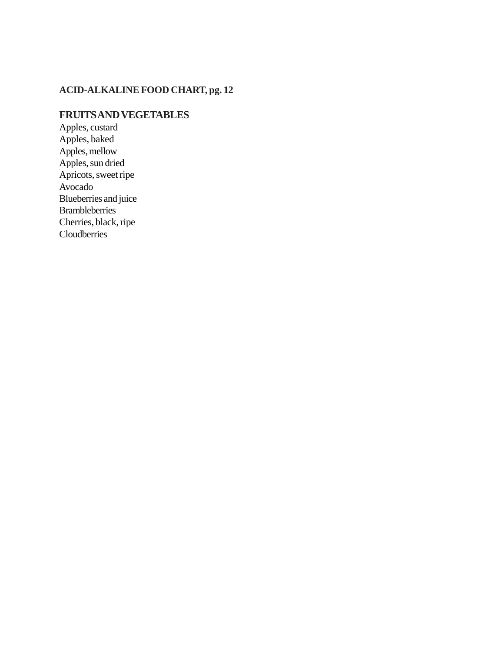#### **ACID-ALKALINE FOOD CHART, pg. 12**

#### **FRUITS AND VEGETABLES**

Apples, custard Apples, baked Apples, mellow Apples, sun dried Apricots, sweet ripe Avocado Blueberries and juice **Brambleberries** Cherries, black, ripe Cloudberries